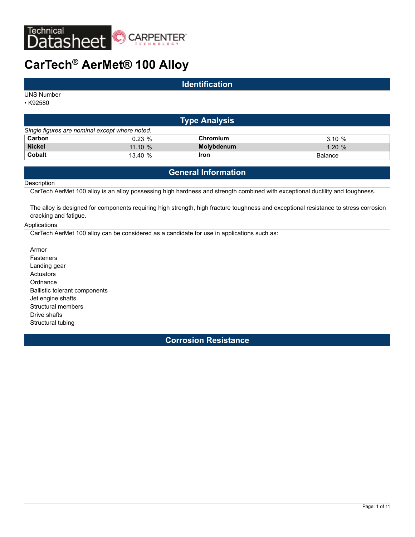

# **CarTech® AerMet® 100 Alloy**

## **Identification**

UNS Number

• K92580

| ∣Type Analysis <sup>∣</sup>                    |          |             |           |  |  |  |
|------------------------------------------------|----------|-------------|-----------|--|--|--|
| Single figures are nominal except where noted. |          |             |           |  |  |  |
| Carbon                                         | $0.23\%$ | Chromium    | 3.10%     |  |  |  |
| <b>Nickel</b>                                  | 11.10%   | Molybdenum  | $1.20 \%$ |  |  |  |
| <b>Cobalt</b>                                  | 13.40%   | <b>Iron</b> | Balance   |  |  |  |

# **General Information**

#### **Description**

CarTech AerMet 100 alloy is an alloy possessing high hardness and strength combined with exceptional ductility and toughness.

The alloy is designed for components requiring high strength, high fracture toughness and exceptional resistance to stress corrosion cracking and fatigue.

#### Applications

CarTech AerMet 100 alloy can be considered as a candidate for use in applications such as:

Armor Fasteners Landing gear **Actuators Ordnance** Ballistic tolerant components Jet engine shafts Structural members Drive shafts Structural tubing

**Corrosion Resistance**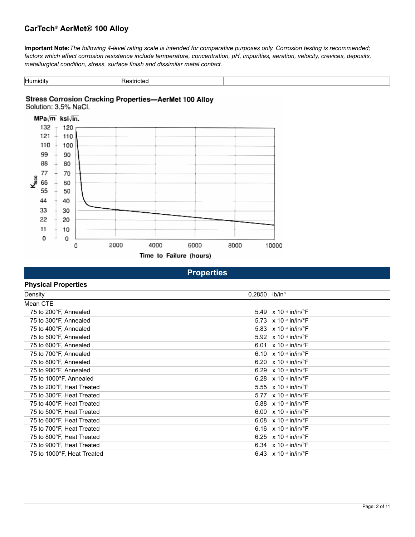# **CarTech® AerMet® 100 Alloy**

**Important Note:***The following 4-level rating scale is intended for comparative purposes only. Corrosion testing is recommended; factors which affect corrosion resistance include temperature, concentration, pH, impurities, aeration, velocity, crevices, deposits, metallurgical condition, stress, surface finish and dissimilar metal contact.*

| .<br>Humidity | estricter.<br>◝ |  |
|---------------|-----------------|--|

# Stress Corrosion Cracking Properties-AerMet 100 Alloy



| <b>Properties</b> |  |  |  |
|-------------------|--|--|--|
|                   |  |  |  |
|                   |  |  |  |

| <b>Physical Properties</b> |        |                                                       |
|----------------------------|--------|-------------------------------------------------------|
| Density                    | 0.2850 | lb/in <sup>3</sup>                                    |
| Mean CTE                   |        |                                                       |
| 75 to 200°F, Annealed      |        | 5.49 $\times$ 10 $\cdot$ in/in/ $\cdot$ F             |
| 75 to 300°F, Annealed      |        | 5.73 $\times$ 10 $\cdot$ in/in/ $\cdot$ F             |
| 75 to 400°F, Annealed      |        | 5.83 $\times$ 10 $\cdot$ in/in/ $\cdot$ F             |
| 75 to 500°F, Annealed      |        | 5.92 $\times$ 10 $\cdot$ in/in/ $\cdot$ F             |
| 75 to 600°F, Annealed      |        | 6.01 $\times$ 10 $\cdot$ in/in/ $\cdot$ F             |
| 75 to 700°F, Annealed      |        | 6.10 $\times$ 10 $\frac{1}{2}$ in/in/ $\frac{1}{2}$ F |
| 75 to 800°F, Annealed      |        | 6.20 $\times$ 10 $\cdot$ in/in/ $\cdot$ F             |
| 75 to 900°F, Annealed      |        | 6.29 $\times$ 10 $\cdot$ in/in/ $\cdot$ F             |
| 75 to 1000°F, Annealed     |        | 6.28 $\times$ 10 $\cdot$ in/in/ $\cdot$ F             |
| 75 to 200°F, Heat Treated  |        | 5.55 $\times$ 10 $\cdot$ in/in/ $\cdot$ F             |
| 75 to 300°F, Heat Treated  |        | 5.77 $\times$ 10 $\cdot$ in/in/ $\cdot$ F             |
| 75 to 400°F, Heat Treated  |        | 5.88 $\times$ 10 $\cdot$ in/in/ $\cdot$ F             |
| 75 to 500°F, Heat Treated  |        | 6.00 $\times$ 10 $\cdot$ in/in/ $\cdot$ F             |
| 75 to 600°F, Heat Treated  |        | 6.08 $\times$ 10 $\cdot$ in/in/ $\cdot$ F             |
| 75 to 700°F, Heat Treated  |        | 6.16 $\times$ 10 $\cdot$ in/in/ $\cdot$ F             |
| 75 to 800°F, Heat Treated  |        | 6.25 $\times$ 10 $\cdot$ in/in/ $\cdot$ F             |
| 75 to 900°F, Heat Treated  |        | 6.34 $\times$ 10 $\cdot$ in/in/ $\cdot$ F             |
| 75 to 1000°F, Heat Treated |        | 6.43 $\times$ 10 $\cdot$ in/in/ $\cdot$ F             |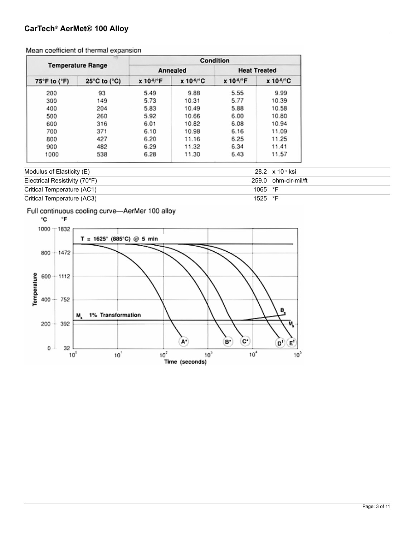# **CarTech® AerMet® 100 Alloy**

| <b>Temperature Range</b> |                                   | Condition              |                       |                        |                            |  |
|--------------------------|-----------------------------------|------------------------|-----------------------|------------------------|----------------------------|--|
|                          |                                   |                        | Annealed              | <b>Heat Treated</b>    |                            |  |
| 75°F to (°F)             | $25^{\circ}$ C to ( $^{\circ}$ C) | x 10- <sup>6</sup> /°F | x 10 <sup>-4</sup> °C | $x 104$ <sup>e</sup> F | $x 10^{-6}$ <sup>o</sup> C |  |
| 200                      | 93                                | 5.49                   | 9.88                  | 5.55                   | 9.99                       |  |
| 300                      | 149                               | 5.73                   | 10.31                 | 5.77                   | 10.39                      |  |
| 400                      | 204                               | 5.83                   | 10.49                 | 5.88                   | 10.58                      |  |
| 500                      | 260                               | 5.92                   | 10.66                 | 6.00                   | 10.80                      |  |
| 600                      | 316                               | 6.01                   | 10.82                 | 6.08                   | 10.94                      |  |
| 700                      | 371                               | 6.10                   | 10.98                 | 6.16                   | 11.09                      |  |
| 800                      | 427                               | 6.20                   | 11.16                 | 6.25                   | 11.25                      |  |
| 900                      | 482                               | 6.29                   | 11.32                 | 6.34                   | 11.41                      |  |
| 1000                     | 538                               | 6.28                   | 11.30                 | 6.43                   | 11.57                      |  |

Mean coefficient of thermal expansion

# Modulus of Elasticity (E) 28.2 x 10 3 ksi Electrical Resistivity (70°F) 259.0 ohm-cir-mil/ft Critical Temperature (AC1) 1065 °F Critical Temperature (AC3) 1525 °F

# Full continuous cooling curve-AerMer 100 alloy

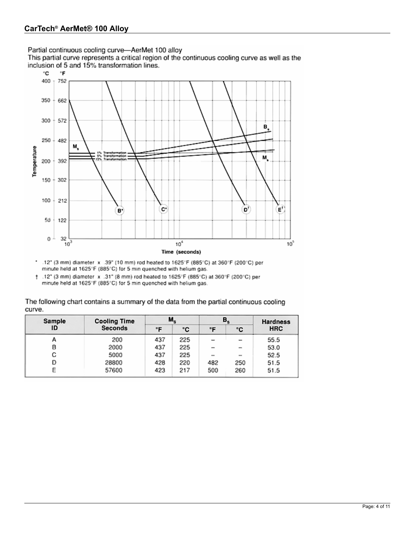Partial continuous cooling curve-AerMet 100 alloy<br>This partial curve represents a critical region of the continuous cooling curve as well as the inclusion of 5 and 15% transformation lines.



- $\bullet$ .12" (3 mm) diameter x .39" (10 mm) rod heated to 1625°F (885°C) at 360°F (200°C) per minute held at 1625°F (885°C) for 5 min quenched with helium gas.
- $\pm$  .12" (3 mm) diameter x .31" (8 mm) rod heated to 1625°F (885°C) at 360°F (200°C) per minute held at 1625°F (885°C) for 5 min quenched with helium gas.

| The following chart contains a summary of the data from the partial continuous cooling |
|----------------------------------------------------------------------------------------|
| curve.                                                                                 |

| Sample | <b>Cooling Time</b> | $M_{s}$   |     | $B_{s}$                  |                          | <b>Hardness</b> |  |
|--------|---------------------|-----------|-----|--------------------------|--------------------------|-----------------|--|
| ID     | <b>Seconds</b>      | <b>"F</b> | ۰c  | ۰F                       | ۰c                       | <b>HRC</b>      |  |
| А      | 200                 | 437       | 225 | $\overline{\phantom{a}}$ | $\sim$                   | 55.5            |  |
| в      | 2000                | 437       | 225 | $\overline{\phantom{a}}$ | $\overline{\phantom{a}}$ | 53.0            |  |
| с      | 5000                | 437       | 225 | $\sim$                   | $\sim$                   | 52.5            |  |
| D      | 28800               | 428       | 220 | 482                      | 250                      | 51.5            |  |
| Ε      | 57600               | 423       | 217 | 500                      | 260                      | 51.5            |  |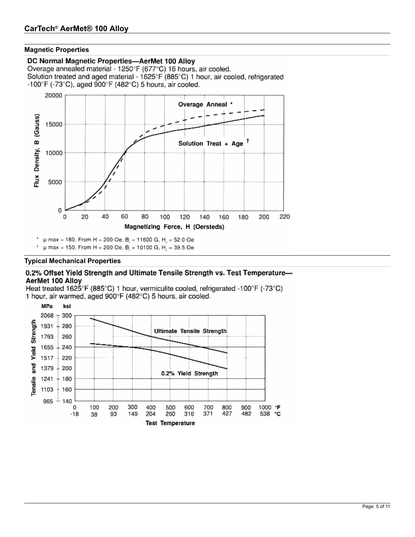#### **Magnetic Properties**

#### DC Normal Magnetic Properties-AerMet 100 Alloy

Overage annealed material - 1250°F (677°C) 16 hours, air cooled. Solution treated and aged material - 1625°F (885°C) 1 hour, air cooled, refrigerated  $-100^{\circ}$ F ( $-73^{\circ}$ C), aged 900 $^{\circ}$ F (482 $^{\circ}$ C) 5 hours, air cooled.



 $\mu$  max = 180, From H = 200 Oe, B, = 11600 G, H<sub>c</sub> = 52.0 Oe

µ max = 150, From H = 200 Oe, B, = 10100 G, H, = 39.5 Oe

### **Typical Mechanical Properties**

#### 0.2% Offset Yield Strength and Ultimate Tensile Strength vs. Test Temperature-AerMet 100 Allov

Heat treated 1625°F (885°C) 1 hour, vermiculite cooled, refrigerated -100°F (-73°C) 1 hour, air warmed, aged 900°F (482°C) 5 hours, air cooled.

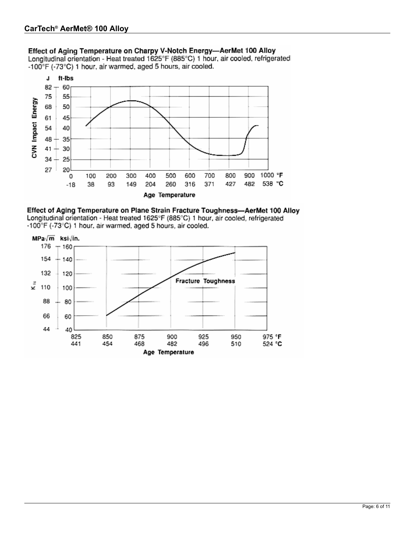# Effect of Aging Temperature on Charpy V-Notch Energy-AerMet 100 Alloy

Longitudinal orientation - Heat treated 1625°F (885°C) 1 hour, air cooled, refrigerated -100°F (-73°C) 1 hour, air warmed, aged 5 hours, air cooled.



Effect of Aging Temperature on Plane Strain Fracture Toughness-AerMet 100 Alloy Longitudinal orientation - Heat treated 1625°F (885°C) 1 hour, air cooled, refrigerated -100°F (-73°C) 1 hour, air warmed, aged 5 hours, air cooled.

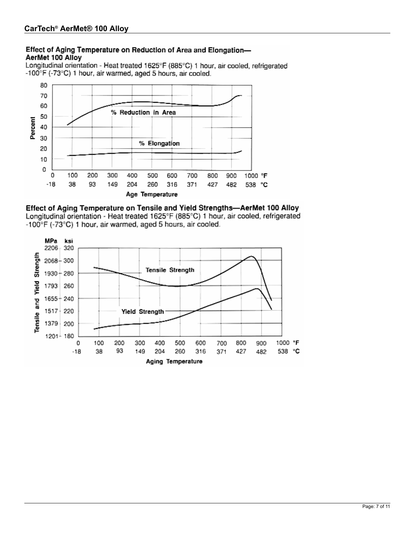## Effect of Aging Temperature on Reduction of Area and Elongation-AerMet 100 Alloy

Longitudinal orientation - Heat treated 1625°F (885°C) 1 hour, air cooled, refrigerated -100°F (-73°C) 1 hour, air warmed, aged 5 hours, air cooled.



Effect of Aging Temperature on Tensile and Yield Strengths-AerMet 100 Alloy Longitudinal orientation - Heat treated 1625°F (885°C) 1 hour, air cooled, refrigerated -100°F (-73°C) 1 hour, air warmed, aged 5 hours, air cooled.

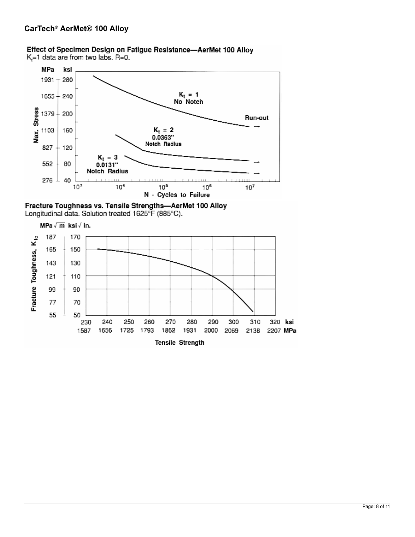### Effect of Specimen Design on Fatigue Resistance-AerMet 100 Alloy K=1 data are from two labs. R=0.



Fracture Toughness vs. Tensile Strengths-AerMet 100 Alloy Longitudinal data. Solution treated 1625°F (885°C).

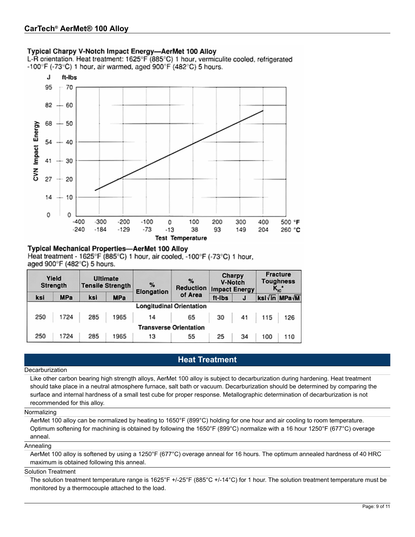### Typical Charpy V-Notch Impact Energy-AerMet 100 Alloy

L-R orientation. Heat treatment: 1625°F (885°C) 1 hour, vermiculite cooled, refrigerated -100°F (-73°C) 1 hour, air warmed, aged 900°F (482°C) 5 hours.



#### **Typical Mechanical Properties-AerMet 100 Allov**

Heat treatment - 1625°F (885°C) 1 hour, air cooled, -100°F (-73°C) 1 hour, aged 900°F (482°C) 5 hours.

| Yield<br>Strength |                                 | <b>Ultimate</b><br><b>Tensile Strength</b> |            | %<br>Elongation | $\%$<br><b>Reduction</b> |    | Charpy<br><b>V-Notch</b><br><b>Impact Energy</b> |                  | <b>Fracture</b><br><b>Toughness</b><br>$K_{\text{IC}}$ |
|-------------------|---------------------------------|--------------------------------------------|------------|-----------------|--------------------------|----|--------------------------------------------------|------------------|--------------------------------------------------------|
| ksi               | <b>MPa</b>                      | ksi                                        | <b>MPa</b> | of Area         | ft-Ibs                   | J  |                                                  | ksi / in MPa / M |                                                        |
|                   | <b>Longitudinal Orientation</b> |                                            |            |                 |                          |    |                                                  |                  |                                                        |
| 250               | 1724                            | 285                                        | 1965       | 14              | 65                       | 30 | 41                                               | 115              | 126                                                    |
|                   | <b>Transverse Orientation</b>   |                                            |            |                 |                          |    |                                                  |                  |                                                        |
| 250               | 1724                            | 285                                        | 1965       | 13              | 55                       | 25 | 34                                               | 100              | 110                                                    |

# **Heat Treatment**

#### **Decarburization**

Like other carbon bearing high strength alloys, AerMet 100 alloy is subject to decarburization during hardening. Heat treatment should take place in a neutral atmosphere furnace, salt bath or vacuum. Decarburization should be determined by comparing the surface and internal hardness of a small test cube for proper response. Metallographic determination of decarburization is not recommended for this alloy.

#### Normalizing

AerMet 100 alloy can be normalized by heating to 1650°F (899°C) holding for one hour and air cooling to room temperature. Optimum softening for machining is obtained by following the 1650°F (899°C) normalize with a 16 hour 1250°F (677°C) overage anneal.

#### Annealing

AerMet 100 alloy is softened by using a 1250°F (677°C) overage anneal for 16 hours. The optimum annealed hardness of 40 HRC maximum is obtained following this anneal.

#### Solution Treatment

The solution treatment temperature range is 1625°F +/-25°F (885°C +/-14°C) for 1 hour. The solution treatment temperature must be monitored by a thermocouple attached to the load.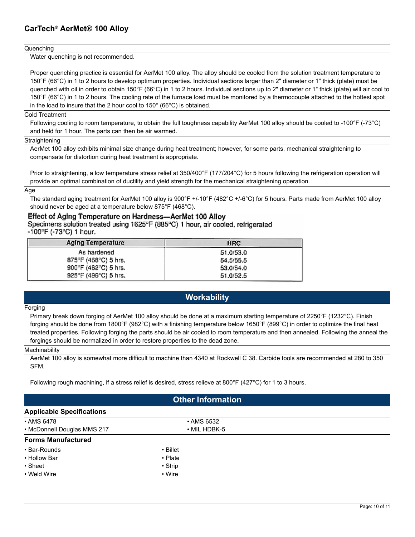#### **Quenching**

Water quenching is not recommended.

Proper quenching practice is essential for AerMet 100 alloy. The alloy should be cooled from the solution treatment temperature to 150°F (66°C) in 1 to 2 hours to develop optimum properties. Individual sections larger than 2" diameter or 1" thick (plate) must be quenched with oil in order to obtain 150°F (66°C) in 1 to 2 hours. Individual sections up to 2" diameter or 1" thick (plate) will air cool to 150°F (66°C) in 1 to 2 hours. The cooling rate of the furnace load must be monitored by a thermocouple attached to the hottest spot in the load to insure that the 2 hour cool to 150° (66°C) is obtained.

#### Cold Treatment

Following cooling to room temperature, to obtain the full toughness capability AerMet 100 alloy should be cooled to -100°F (-73°C) and held for 1 hour. The parts can then be air warmed.

#### Straightening

AerMet 100 alloy exhibits minimal size change during heat treatment; however, for some parts, mechanical straightening to compensate for distortion during heat treatment is appropriate.

Prior to straightening, a low temperature stress relief at 350/400°F (177/204°C) for 5 hours following the refrigeration operation will provide an optimal combination of ductility and yield strength for the mechanical straightening operation.

Age

The standard aging treatment for AerMet 100 alloy is 900°F +/-10°F (482°C +/-6°C) for 5 hours. Parts made from AerMet 100 alloy should never be aged at a temperature below 875°F (468°C).

### Effect of Aging Temperature on Hardness-AerMet 100 Alloy

Specimens solution treated using 1625°F (885°C) 1 hour, air cooled, refrigerated -100°F (-73°C) 1 hour.

| Aging Temperature                         | <b>HRC</b> |
|-------------------------------------------|------------|
| As hardened                               | 51.0/53.0  |
| $875^{\circ}$ F (468 $^{\circ}$ C) 5 hrs. | 54,5/55.5  |
| 900"F (482"C) 5 hrs.                      | 53.0/54.0  |
| 925°F (496°C) 5 hrs.                      | 51.0/52.5  |

# **Workability**

#### Forging

Primary break down forging of AerMet 100 alloy should be done at a maximum starting temperature of 2250°F (1232°C). Finish forging should be done from 1800°F (982°C) with a finishing temperature below 1650°F (899°C) in order to optimize the final heat treated properties. Following forging the parts should be air cooled to room temperature and then annealed. Following the anneal the forgings should be normalized in order to restore properties to the dead zone.

#### **Machinability**

AerMet 100 alloy is somewhat more difficult to machine than 4340 at Rockwell C 38. Carbide tools are recommended at 280 to 350 SFM.

Following rough machining, if a stress relief is desired, stress relieve at 800°F (427°C) for 1 to 3 hours.

| <b>Other Information</b>                          |                |  |  |  |  |
|---------------------------------------------------|----------------|--|--|--|--|
| <b>Applicable Specifications</b>                  |                |  |  |  |  |
| • AMS 6478                                        | • AMS 6532     |  |  |  |  |
| • McDonnell Douglas MMS 217<br>$\cdot$ MIL HDBK-5 |                |  |  |  |  |
| <b>Forms Manufactured</b>                         |                |  |  |  |  |
| • Bar-Rounds                                      | $\cdot$ Billet |  |  |  |  |
| • Hollow Bar                                      | • Plate        |  |  |  |  |
| • Sheet                                           | $\cdot$ Strip  |  |  |  |  |
| • Weld Wire                                       | • Wire         |  |  |  |  |